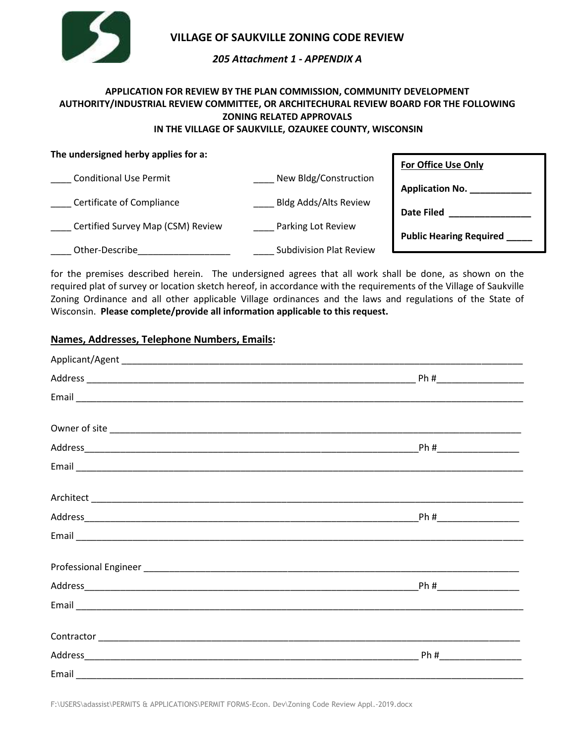

## **VILLAGE OF SAUKVILLE ZONING CODE REVIEW**

## *205 Attachment 1 - APPENDIX A*

# **APPLICATION FOR REVIEW BY THE PLAN COMMISSION, COMMUNITY DEVELOPMENT AUTHORITY/INDUSTRIAL REVIEW COMMITTEE, OR ARCHITECHURAL REVIEW BOARD FOR THE FOLLOWING ZONING RELATED APPROVALS**

## **IN THE VILLAGE OF SAUKVILLE, OZAUKEE COUNTY, WISCONSIN**

| The undersigned herby applies for a: |                                | <b>For Office Use Only</b>     |  |  |
|--------------------------------------|--------------------------------|--------------------------------|--|--|
| <b>Conditional Use Permit</b>        | New Bldg/Construction          | <b>Application No.</b>         |  |  |
| Certificate of Compliance            | <b>Bldg Adds/Alts Review</b>   | <b>Date Filed</b>              |  |  |
| Certified Survey Map (CSM) Review    | Parking Lot Review             | <b>Public Hearing Required</b> |  |  |
| Other-Describe                       | <b>Subdivision Plat Review</b> |                                |  |  |

for the premises described herein. The undersigned agrees that all work shall be done, as shown on the required plat of survey or location sketch hereof, in accordance with the requirements of the Village of Saukville Zoning Ordinance and all other applicable Village ordinances and the laws and regulations of the State of Wisconsin. **Please complete/provide all information applicable to this request.**

## **Names, Addresses, Telephone Numbers, Emails:**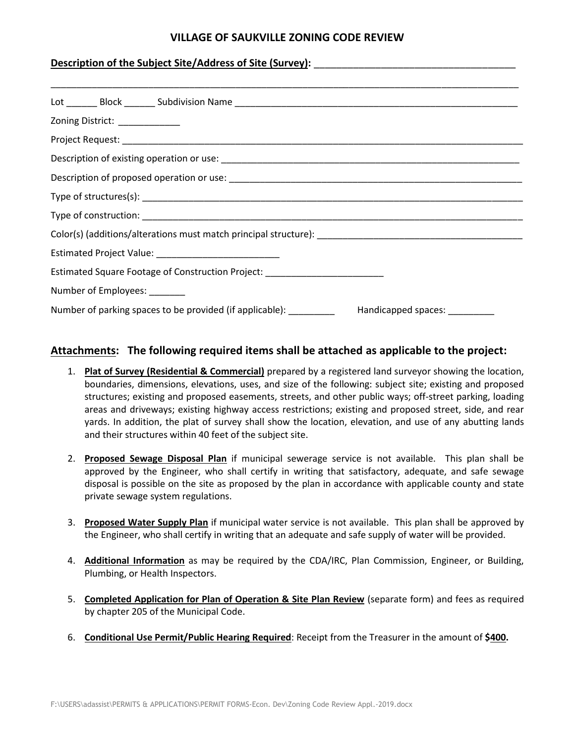## **VILLAGE OF SAUKVILLE ZONING CODE REVIEW**

#### **Description of the Subject Site/Address of Site (Survey):**

| Zoning District: ____________                                                                      |
|----------------------------------------------------------------------------------------------------|
|                                                                                                    |
|                                                                                                    |
|                                                                                                    |
|                                                                                                    |
|                                                                                                    |
|                                                                                                    |
|                                                                                                    |
| Estimated Square Footage of Construction Project: ______________________________                   |
| Number of Employees: _______                                                                       |
| Number of parking spaces to be provided (if applicable): ___________ Handicapped spaces: _________ |

#### **Attachments: The following required items shall be attached as applicable to the project:**

- 1. **Plat of Survey (Residential & Commercial)** prepared by a registered land surveyor showing the location, boundaries, dimensions, elevations, uses, and size of the following: subject site; existing and proposed structures; existing and proposed easements, streets, and other public ways; off-street parking, loading areas and driveways; existing highway access restrictions; existing and proposed street, side, and rear yards. In addition, the plat of survey shall show the location, elevation, and use of any abutting lands and their structures within 40 feet of the subject site.
- 2. **Proposed Sewage Disposal Plan** if municipal sewerage service is not available. This plan shall be approved by the Engineer, who shall certify in writing that satisfactory, adequate, and safe sewage disposal is possible on the site as proposed by the plan in accordance with applicable county and state private sewage system regulations.
- 3. **Proposed Water Supply Plan** if municipal water service is not available. This plan shall be approved by the Engineer, who shall certify in writing that an adequate and safe supply of water will be provided.
- 4. **Additional Information** as may be required by the CDA/IRC, Plan Commission, Engineer, or Building, Plumbing, or Health Inspectors.
- 5. **Completed Application for Plan of Operation & Site Plan Review** (separate form) and fees as required by chapter 205 of the Municipal Code.
- 6. **Conditional Use Permit/Public Hearing Required**: Receipt from the Treasurer in the amount of **\$400.**